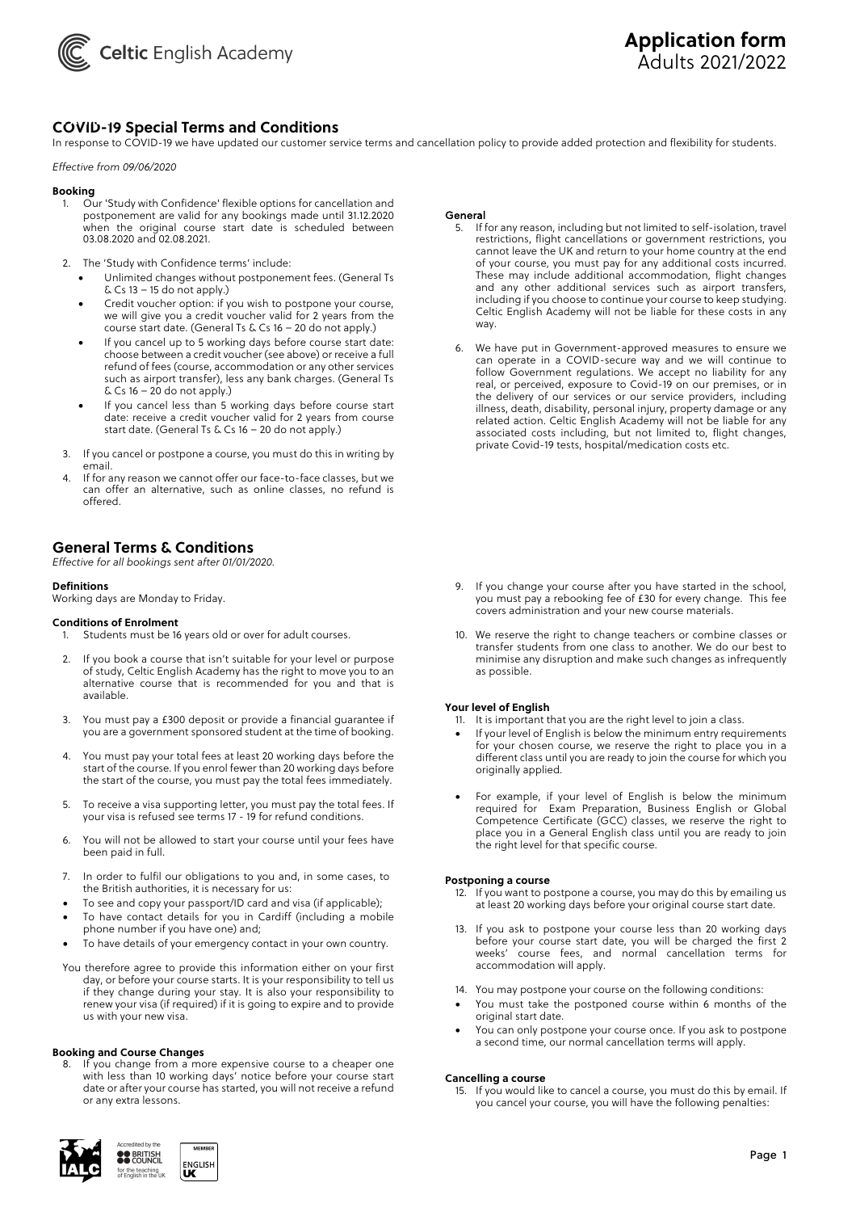

## **COVID-19 Special Terms and Conditions PAYMENT**

In response to COVID-19 we have updated our customer service terms and cancellation policy to provide added protection and flexibility for students.

#### *Effective from 09/06/2020*

#### **Booking**

- 1. Our 'Study with Confidence' flexible options for cancellation and postponement are valid for any bookings made until 31.12.2020 when the original course start date is scheduled between 03.08.2020 and 02.08.2021.
- 2. The 'Study with Confidence terms' include:
	- Unlimited changes without postponement fees. (General Ts  $&Cs$  13 – 15 do not apply.)
	- Credit voucher option: if you wish to postpone your course, we will give you a credit voucher valid for 2 years from the course start date. (General Ts & Cs 16 – 20 do not apply.)
	- If you cancel up to 5 working days before course start date: choose between a credit voucher (see above) or receive a full refund of fees (course, accommodation or any other services such as airport transfer), less any bank charges. (General Ts  $\&$  Cs 16 – 20 do not apply.)
	- If you cancel less than 5 working days before course start date: receive a credit voucher valid for 2 years from course start date. (General Ts & Cs 16 – 20 do not apply.)
- 3. If you cancel or postpone a course, you must do this in writing by email.
- 4. If for any reason we cannot offer our face-to-face classes, but we can offer an alternative, such as online classes, no refund is offered.

## **General Terms & Conditions**

*Effective for all bookings sent after 01/01/2020.*

#### **Definitions**

Working days are Monday to Friday.

#### **Conditions of Enrolment**

- 1. Students must be 16 years old or over for adult courses.
- 2. If you book a course that isn't suitable for your level or purpose of study, Celtic English Academy has the right to move you to an alternative course that is recommended for you and that is available.
- 3. You must pay a £300 deposit or provide a financial guarantee if you are a government sponsored student at the time of booking.
- 4. You must pay your total fees at least 20 working days before the start of the course. If you enrol fewer than 20 working days before the start of the course, you must pay the total fees immediately.
- 5. To receive a visa supporting letter, you must pay the total fees. If your visa is refused see terms 17 - 19 for refund conditions.
- 6. You will not be allowed to start your course until your fees have been paid in full.
- 7. In order to fulfil our obligations to you and, in some cases, to the British authorities, it is necessary for us:
- To see and copy your passport/ID card and visa (if applicable);
- To have contact details for you in Cardiff (including a mobile phone number if you have one) and;
- To have details of your emergency contact in your own country.
- You therefore agree to provide this information either on your first day, or before your course starts. It is your responsibility to tell us if they change during your stay. It is also your responsibility to renew your visa (if required) if it is going to expire and to provide us with your new visa.

#### **Booking and Course Changes**

If you change from a more expensive course to a cheaper one with less than 10 working days' notice before your course start date or after your course has started, you will not receive a refund or any extra lessons.





## General

- If for any reason, including but not limited to self-isolation, travel restrictions, flight cancellations or government restrictions, you cannot leave the UK and return to your home country at the end of your course, you must pay for any additional costs incurred. These may include additional accommodation, flight changes and any other additional services such as airport transfers, including if you choose to continue your course to keep studying. Celtic English Academy will not be liable for these costs in any way.
- 6. We have put in Government-approved measures to ensure we can operate in a COVID-secure way and we will continue to follow Government regulations. We accept no liability for any real, or perceived, exposure to Covid-19 on our premises, or in the delivery of our services or our service providers, including illness, death, disability, personal injury, property damage or any related action. Celtic English Academy will not be liable for any associated costs including, but not limited to, flight changes, private Covid-19 tests, hospital/medication costs etc.

- 9. If you change your course after you have started in the school, you must pay a rebooking fee of £30 for every change. This fee covers administration and your new course materials.
- 10. We reserve the right to change teachers or combine classes or transfer students from one class to another. We do our best to minimise any disruption and make such changes as infrequently as possible.

#### **Your level of English**

- 11. It is important that you are the right level to join a class.
- If your level of English is below the minimum entry requirements for your chosen course, we reserve the right to place you in a different class until you are ready to join the course for which you originally applied.
- For example, if your level of English is below the minimum required for Exam Preparation, Business English or Global Competence Certificate (GCC) classes, we reserve the right to place you in a General English class until you are ready to join the right level for that specific course.

#### **Postponing a course**

- 12. If you want to postpone a course, you may do this by emailing us at least 20 working days before your original course start date.
- 13. If you ask to postpone your course less than 20 working days before your course start date, you will be charged the first 2 weeks' course fees, and normal cancellation terms for accommodation will apply.
- 14. You may postpone your course on the following conditions:
- You must take the postponed course within 6 months of the original start date.
- You can only postpone your course once. If you ask to postpone a second time, our normal cancellation terms will apply.

#### **Cancelling a course**

15. If you would like to cancel a course, you must do this by email. If you cancel your course, you will have the following penalties: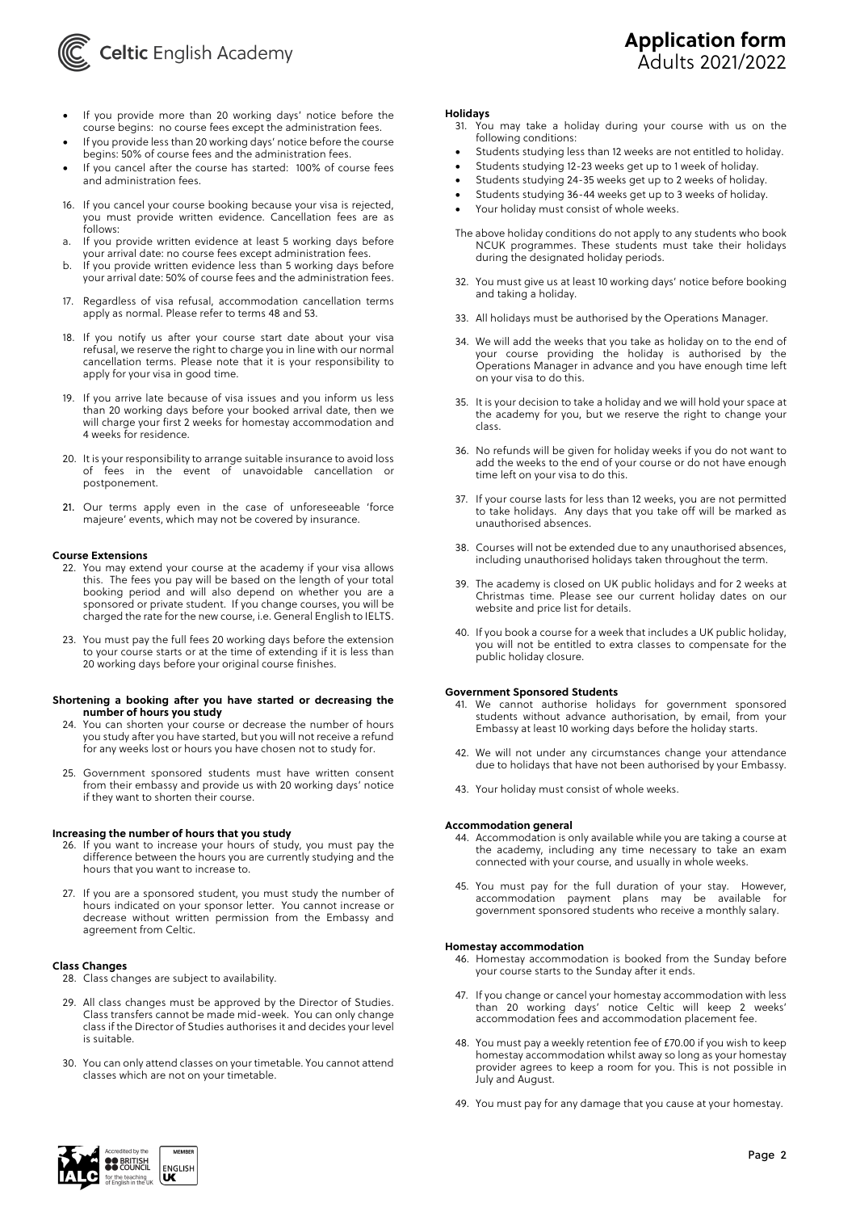

# **Application form** Adults 2021/2022

- If you provide more than 20 working days' notice before the course begins: no course fees except the administration fees.
- If you provide less than 20 working days' notice before the course begins: 50% of course fees and the administration fees.
- If you cancel after the course has started: 100% of course fees and administration fees.
- 16. If you cancel your course booking because your visa is rejected, you must provide written evidence. Cancellation fees are as follows:
- a. If you provide written evidence at least 5 working days before your arrival date: no course fees except administration fees.
- b. If you provide written evidence less than 5 working days before your arrival date: 50% of course fees and the administration fees.
- 17. Regardless of visa refusal, accommodation cancellation terms apply as normal. Please refer to terms 48 and 53.
- 18. If you notify us after your course start date about your visa refusal, we reserve the right to charge you in line with our normal cancellation terms. Please note that it is your responsibility to apply for your visa in good time.
- 19. If you arrive late because of visa issues and you inform us less than 20 working days before your booked arrival date, then we will charge your first 2 weeks for homestay accommodation and 4 weeks for residence.
- 20. It is your responsibility to arrange suitable insurance to avoid loss of fees in the event of unavoidable cancellation or postponement.
- 21. Our terms apply even in the case of unforeseeable 'force majeure' events, which may not be covered by insurance.

#### **Course Extensions**

- 22. You may extend your course at the academy if your visa allows this. The fees you pay will be based on the length of your total booking period and will also depend on whether you are a sponsored or private student. If you change courses, you will be charged the rate for the new course, i.e. General English to IELTS.
- 23. You must pay the full fees 20 working days before the extension to your course starts or at the time of extending if it is less than 20 working days before your original course finishes.

#### **Shortening a booking after you have started or decreasing the number of hours you study**

- 24. You can shorten your course or decrease the number of hours you study after you have started, but you will not receive a refund for any weeks lost or hours you have chosen not to study for.
- 25. Government sponsored students must have written consent from their embassy and provide us with 20 working days' notice if they want to shorten their course.

## **Increasing the number of hours that you study**

- 26. If you want to increase your hours of study, you must pay the difference between the hours you are currently studying and the hours that you want to increase to.
- 27. If you are a sponsored student, you must study the number of hours indicated on your sponsor letter. You cannot increase or decrease without written permission from the Embassy and agreement from Celtic.

## **Class Changes**

- 28. Class changes are subject to availability.
- 29. All class changes must be approved by the Director of Studies. Class transfers cannot be made mid-week. You can only change class if the Director of Studies authorises it and decides your level is suitable.
- 30. You can only attend classes on your timetable. You cannot attend classes which are not on your timetable.

### **Holidays**

- 31. You may take a holiday during your course with us on the following conditions:
- Students studying less than 12 weeks are not entitled to holiday.
- Students studying 12-23 weeks get up to 1 week of holiday.
- Students studying 24-35 weeks get up to 2 weeks of holiday.
- Students studying 36-44 weeks get up to 3 weeks of holiday.
- Your holiday must consist of whole weeks.
- The above holiday conditions do not apply to any students who book NCUK programmes. These students must take their holidays during the designated holiday periods.
- 32. You must give us at least 10 working days' notice before booking and taking a holiday.
- 33. All holidays must be authorised by the Operations Manager.
- 34. We will add the weeks that you take as holiday on to the end of your course providing the holiday is authorised by the Operations Manager in advance and you have enough time left on your visa to do this.
- 35. It is your decision to take a holiday and we will hold your space at the academy for you, but we reserve the right to change your class.
- 36. No refunds will be given for holiday weeks if you do not want to add the weeks to the end of your course or do not have enough time left on your visa to do this.
- 37. If your course lasts for less than 12 weeks, you are not permitted to take holidays. Any days that you take off will be marked as unauthorised absences.
- 38. Courses will not be extended due to any unauthorised absences, including unauthorised holidays taken throughout the term.
- 39. The academy is closed on UK public holidays and for 2 weeks at Christmas time. Please see our current holiday dates on our website and price list for details.
- 40. If you book a course for a week that includes a UK public holiday, you will not be entitled to extra classes to compensate for the public holiday closure.

#### **Government Sponsored Students**

- 41. We cannot authorise holidays for government sponsored students without advance authorisation, by email, from your Embassy at least 10 working days before the holiday starts.
- 42. We will not under any circumstances change your attendance due to holidays that have not been authorised by your Embassy.
- 43. Your holiday must consist of whole weeks.

## **Accommodation general**

- 44. Accommodation is only available while you are taking a course at the academy, including any time necessary to take an exam connected with your course, and usually in whole weeks.
- 45. You must pay for the full duration of your stay. However, accommodation payment plans may be available for government sponsored students who receive a monthly salary.

#### **Homestay accommodation**

- 46. Homestay accommodation is booked from the Sunday before your course starts to the Sunday after it ends.
- 47. If you change or cancel your homestay accommodation with less than 20 working days' notice Celtic will keep 2 weeks' accommodation fees and accommodation placement fee.
- 48. You must pay a weekly retention fee of £70.00 if you wish to keep homestay accommodation whilst away so long as your homestay provider agrees to keep a room for you. This is not possible in July and August.
- 49. You must pay for any damage that you cause at your homestay.